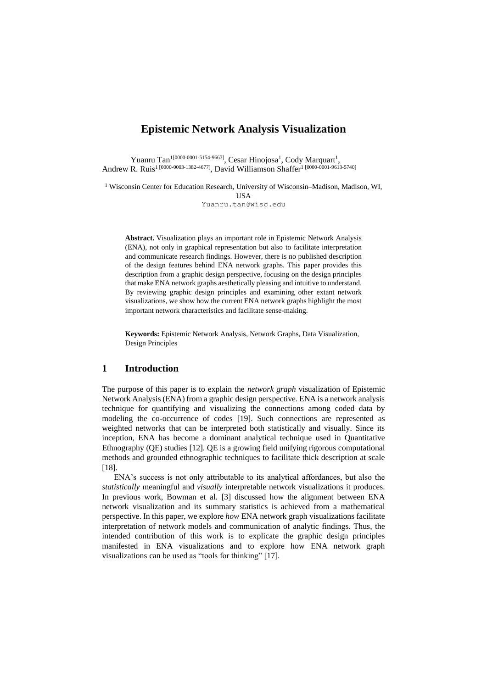# **Epistemic Network Analysis Visualization**

Yuanru Tan<sup>1[0000-0001-5154-9667]</sup>, Cesar Hinojosa<sup>1</sup>, Cody Marquart<sup>1</sup>, Andrew R. Ruis<sup>1 [0000-0003-1382-4677]</sup>, David Williamson Shaffer<sup>1 [0000-0001-9613-5740]</sup>

<sup>1</sup> Wisconsin Center for Education Research, University of Wisconsin–Madison, Madison, WI,

**IISA** 

Yuanru.tan@wisc.edu

**Abstract.** Visualization plays an important role in Epistemic Network Analysis (ENA), not only in graphical representation but also to facilitate interpretation and communicate research findings. However, there is no published description of the design features behind ENA network graphs. This paper provides this description from a graphic design perspective, focusing on the design principles that make ENA network graphs aesthetically pleasing and intuitive to understand. By reviewing graphic design principles and examining other extant network visualizations, we show how the current ENA network graphs highlight the most important network characteristics and facilitate sense-making.

**Keywords:** Epistemic Network Analysis, Network Graphs, Data Visualization, Design Principles

## **1 Introduction**

The purpose of this paper is to explain the *network graph* visualization of Epistemic Network Analysis (ENA) from a graphic design perspective. ENA is a network analysis technique for quantifying and visualizing the connections among coded data by modeling the co-occurrence of codes [19]. Such connections are represented as weighted networks that can be interpreted both statistically and visually. Since its inception, ENA has become a dominant analytical technique used in Quantitative Ethnography (QE) studies [12]. QE is a growing field unifying rigorous computational methods and grounded ethnographic techniques to facilitate thick description at scale [18].

ENA's success is not only attributable to its analytical affordances, but also the *statistically* meaningful and *visually* interpretable network visualizations it produces. In previous work, Bowman et al. [3] discussed how the alignment between ENA network visualization and its summary statistics is achieved from a mathematical perspective. In this paper, we explore *how* ENA network graph visualizations facilitate interpretation of network models and communication of analytic findings. Thus, the intended contribution of this work is to explicate the graphic design principles manifested in ENA visualizations and to explore how ENA network graph visualizations can be used as "tools for thinking" [17].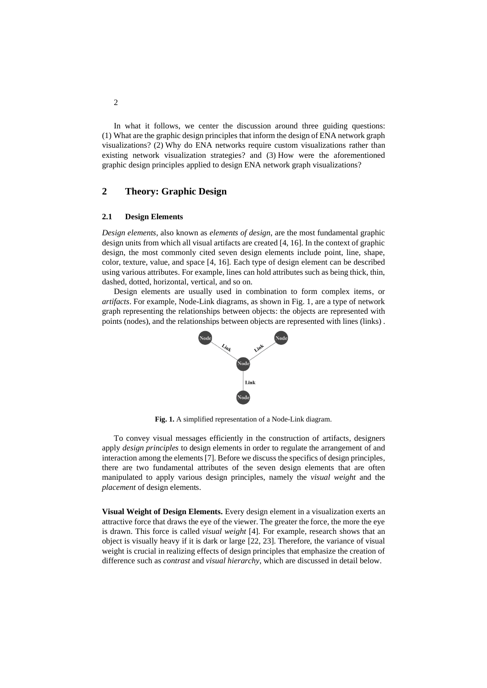In what it follows, we center the discussion around three guiding questions: (1) What are the graphic design principles that inform the design of ENA network graph visualizations? (2) Why do ENA networks require custom visualizations rather than existing network visualization strategies? and (3) How were the aforementioned graphic design principles applied to design ENA network graph visualizations?

# **2 Theory: Graphic Design**

## **2.1 Design Elements**

*Design elements*, also known as *elements of design*, are the most fundamental graphic design units from which all visual artifacts are created [4, 16]. In the context of graphic design, the most commonly cited seven design elements include point, line, shape, color, texture, value, and space [4, 16]. Each type of design element can be described using various attributes. For example, lines can hold attributes such as being thick, thin, dashed, dotted, horizontal, vertical, and so on.

Design elements are usually used in combination to form complex items, or *artifacts*. For example, Node-Link diagrams, as shown in Fig. 1, are a type of network graph representing the relationships between objects: the objects are represented with points (nodes), and the relationships between objects are represented with lines (links) .



**Fig. 1.** A simplified representation of a Node-Link diagram.

To convey visual messages efficiently in the construction of artifacts, designers apply *design principles* to design elements in order to regulate the arrangement of and interaction among the elements [7]. Before we discuss the specifics of design principles, there are two fundamental attributes of the seven design elements that are often manipulated to apply various design principles, namely the *visual weight* and the *placement* of design elements.

**Visual Weight of Design Elements.** Every design element in a visualization exerts an attractive force that draws the eye of the viewer. The greater the force, the more the eye is drawn. This force is called *visual weight* [4]. For example, research shows that an object is visually heavy if it is dark or large [22, 23]. Therefore, the variance of visual weight is crucial in realizing effects of design principles that emphasize the creation of difference such as *contrast* and *visual hierarchy*, which are discussed in detail below.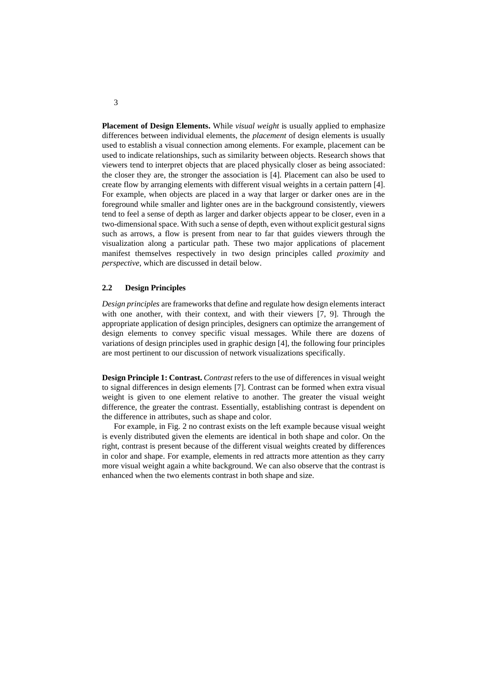**Placement of Design Elements.** While *visual weight* is usually applied to emphasize differences between individual elements, the *placement* of design elements is usually used to establish a visual connection among elements. For example, placement can be used to indicate relationships, such as similarity between objects. Research shows that viewers tend to interpret objects that are placed physically closer as being associated: the closer they are, the stronger the association is [4]. Placement can also be used to create flow by arranging elements with different visual weights in a certain pattern [4]. For example, when objects are placed in a way that larger or darker ones are in the foreground while smaller and lighter ones are in the background consistently, viewers tend to feel a sense of depth as larger and darker objects appear to be closer, even in a two-dimensional space. With such a sense of depth, even without explicit gestural signs such as arrows, a flow is present from near to far that guides viewers through the visualization along a particular path. These two major applications of placement manifest themselves respectively in two design principles called *proximity* and *perspective*, which are discussed in detail below.

#### **2.2 Design Principles**

*Design principles* are frameworks that define and regulate how design elements interact with one another, with their context, and with their viewers [7, 9]. Through the appropriate application of design principles, designers can optimize the arrangement of design elements to convey specific visual messages. While there are dozens of variations of design principles used in graphic design [4], the following four principles are most pertinent to our discussion of network visualizations specifically.

**Design Principle 1: Contrast.** *Contrast* refers to the use of differences in visual weight to signal differences in design elements [7]. Contrast can be formed when extra visual weight is given to one element relative to another. The greater the visual weight difference, the greater the contrast. Essentially, establishing contrast is dependent on the difference in attributes, such as shape and color.

For example, in Fig. 2 no contrast exists on the left example because visual weight is evenly distributed given the elements are identical in both shape and color. On the right, contrast is present because of the different visual weights created by differences in color and shape. For example, elements in red attracts more attention as they carry more visual weight again a white background. We can also observe that the contrast is enhanced when the two elements contrast in both shape and size.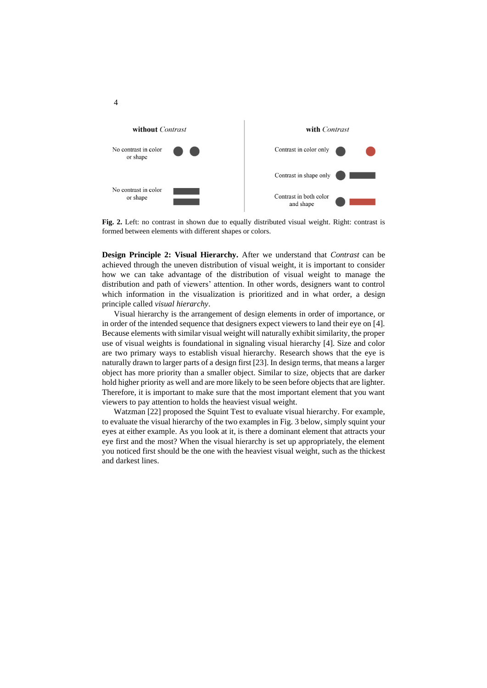

4

**Fig. 2.** Left: no contrast in shown due to equally distributed visual weight. Right: contrast is formed between elements with different shapes or colors.

**Design Principle 2: Visual Hierarchy.** After we understand that *Contrast* can be achieved through the uneven distribution of visual weight, it is important to consider how we can take advantage of the distribution of visual weight to manage the distribution and path of viewers' attention. In other words, designers want to control which information in the visualization is prioritized and in what order, a design principle called *visual hierarchy*.

Visual hierarchy is the arrangement of design elements in order of importance, or in order of the intended sequence that designers expect viewers to land their eye on [4]. Because elements with similar visual weight will naturally exhibit similarity, the proper use of visual weights is foundational in signaling visual hierarchy [4]. Size and color are two primary ways to establish visual hierarchy. Research shows that the eye is naturally drawn to larger parts of a design first [23]. In design terms, that means a larger object has more priority than a smaller object. Similar to size, objects that are darker hold higher priority as well and are more likely to be seen before objects that are lighter. Therefore, it is important to make sure that the most important element that you want viewers to pay attention to holds the heaviest visual weight.

Watzman [22] proposed the Squint Test to evaluate visual hierarchy. For example, to evaluate the visual hierarchy of the two examples in Fig. 3 below, simply squint your eyes at either example. As you look at it, is there a dominant element that attracts your eye first and the most? When the visual hierarchy is set up appropriately, the element you noticed first should be the one with the heaviest visual weight, such as the thickest and darkest lines.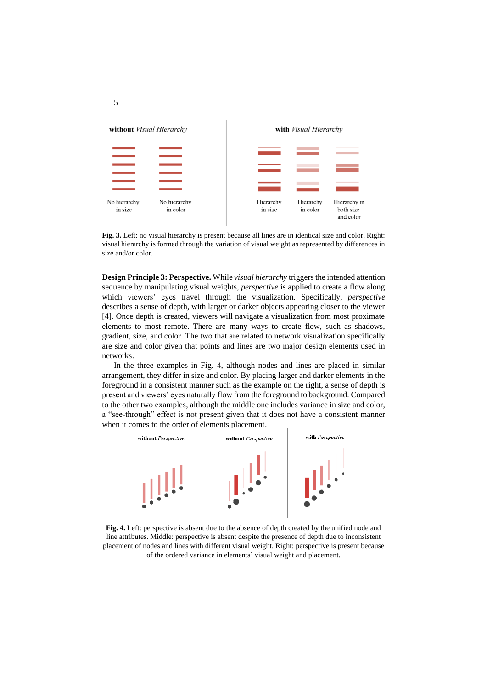

**Fig. 3.** Left: no visual hierarchy is present because all lines are in identical size and color. Right: visual hierarchy is formed through the variation of visual weight as represented by differences in size and/or color.

**Design Principle 3: Perspective.** While *visual hierarchy* triggers the intended attention sequence by manipulating visual weights, *perspective* is applied to create a flow along which viewers' eyes travel through the visualization. Specifically, *perspective* describes a sense of depth, with larger or darker objects appearing closer to the viewer [4]. Once depth is created, viewers will navigate a visualization from most proximate elements to most remote. There are many ways to create flow, such as shadows, gradient, size, and color. The two that are related to network visualization specifically are size and color given that points and lines are two major design elements used in networks.

In the three examples in Fig. 4, although nodes and lines are placed in similar arrangement, they differ in size and color. By placing larger and darker elements in the foreground in a consistent manner such as the example on the right, a sense of depth is present and viewers' eyes naturally flow from the foreground to background. Compared to the other two examples, although the middle one includes variance in size and color, a "see-through" effect is not present given that it does not have a consistent manner when it comes to the order of elements placement.



**Fig. 4.** Left: perspective is absent due to the absence of depth created by the unified node and line attributes. Middle: perspective is absent despite the presence of depth due to inconsistent placement of nodes and lines with different visual weight. Right: perspective is present because of the ordered variance in elements' visual weight and placement.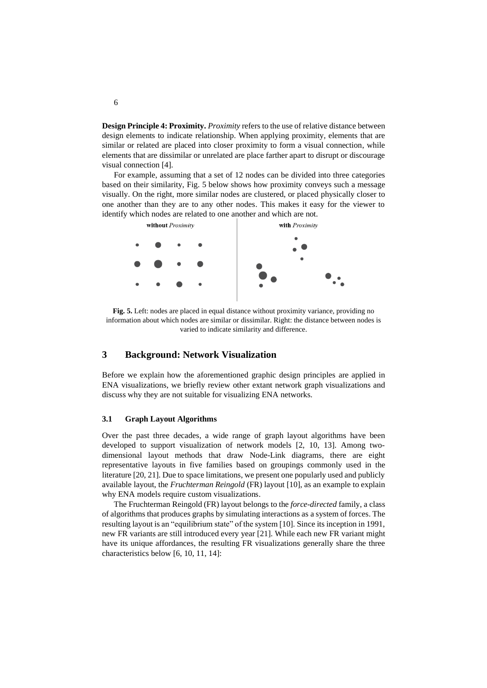**Design Principle 4: Proximity.** *Proximity* refers to the use of relative distance between design elements to indicate relationship. When applying proximity, elements that are similar or related are placed into closer proximity to form a visual connection, while elements that are dissimilar or unrelated are place farther apart to disrupt or discourage visual connection [4].

For example, assuming that a set of 12 nodes can be divided into three categories based on their similarity, Fig. 5 below shows how proximity conveys such a message visually. On the right, more similar nodes are clustered, or placed physically closer to one another than they are to any other nodes. This makes it easy for the viewer to identify which nodes are related to one another and which are not.



**Fig. 5.** Left: nodes are placed in equal distance without proximity variance, providing no information about which nodes are similar or dissimilar. Right: the distance between nodes is varied to indicate similarity and difference.

# **3 Background: Network Visualization**

Before we explain how the aforementioned graphic design principles are applied in ENA visualizations, we briefly review other extant network graph visualizations and discuss why they are not suitable for visualizing ENA networks.

#### **3.1 Graph Layout Algorithms**

Over the past three decades, a wide range of graph layout algorithms have been developed to support visualization of network models [2, 10, 13]. Among twodimensional layout methods that draw Node-Link diagrams, there are eight representative layouts in five families based on groupings commonly used in the literature [20, 21]. Due to space limitations, we present one popularly used and publicly available layout, the *Fruchterman Reingold* (FR) layout [10], as an example to explain why ENA models require custom visualizations.

The Fruchterman Reingold (FR) layout belongs to the *force-directed* family, a class of algorithms that produces graphs by simulating interactions as a system of forces. The resulting layout is an "equilibrium state" of the system [10]. Since its inception in 1991, new FR variants are still introduced every year [21]. While each new FR variant might have its unique affordances, the resulting FR visualizations generally share the three characteristics below [6, 10, 11, 14]:

6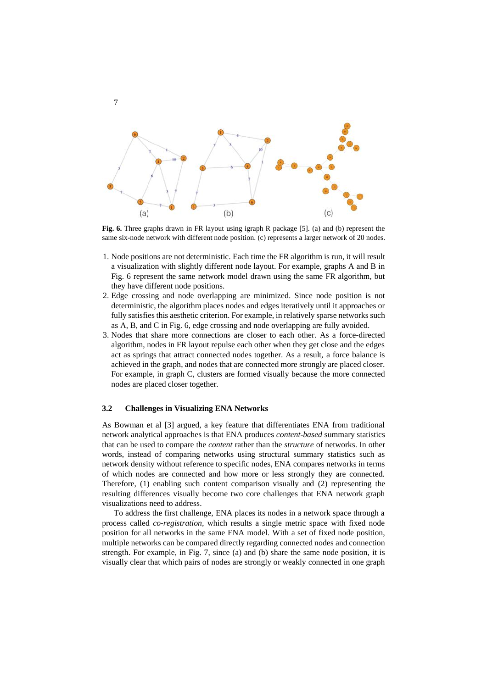

**Fig. 6.** Three graphs drawn in FR layout using igraph R package [5]. (a) and (b) represent the same six-node network with different node position. (c) represents a larger network of 20 nodes.

- 1. Node positions are not deterministic. Each time the FR algorithm is run, it will result a visualization with slightly different node layout. For example, graphs A and B in Fig. 6 represent the same network model drawn using the same FR algorithm, but they have different node positions.
- 2. Edge crossing and node overlapping are minimized. Since node position is not deterministic, the algorithm places nodes and edges iteratively until it approaches or fully satisfies this aesthetic criterion. For example, in relatively sparse networks such as A, B, and C in Fig. 6, edge crossing and node overlapping are fully avoided.
- 3. Nodes that share more connections are closer to each other. As a force-directed algorithm, nodes in FR layout repulse each other when they get close and the edges act as springs that attract connected nodes together. As a result, a force balance is achieved in the graph, and nodes that are connected more strongly are placed closer. For example, in graph C, clusters are formed visually because the more connected nodes are placed closer together.

## **3.2 Challenges in Visualizing ENA Networks**

As Bowman et al [3] argued, a key feature that differentiates ENA from traditional network analytical approaches is that ENA produces *content-based* summary statistics that can be used to compare the *content* rather than the *structure* of networks. In other words, instead of comparing networks using structural summary statistics such as network density without reference to specific nodes, ENA compares networks in terms of which nodes are connected and how more or less strongly they are connected. Therefore, (1) enabling such content comparison visually and (2) representing the resulting differences visually become two core challenges that ENA network graph visualizations need to address.

To address the first challenge, ENA places its nodes in a network space through a process called *co-registration,* which results a single metric space with fixed node position for all networks in the same ENA model. With a set of fixed node position, multiple networks can be compared directly regarding connected nodes and connection strength. For example, in Fig. 7, since (a) and (b) share the same node position, it is visually clear that which pairs of nodes are strongly or weakly connected in one graph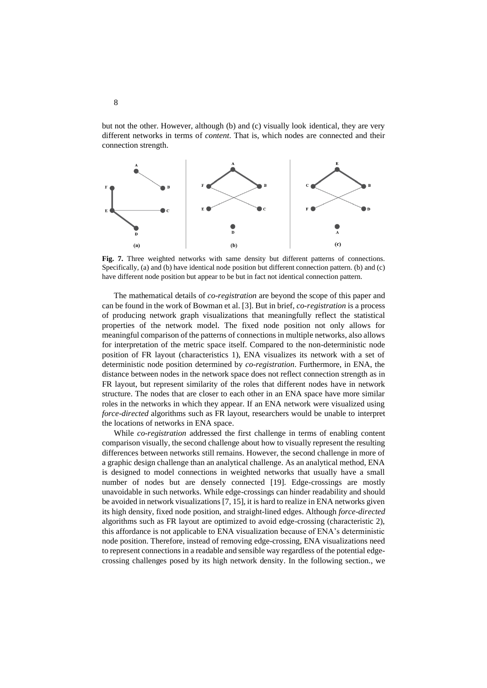but not the other. However, although (b) and (c) visually look identical, they are very different networks in terms of *content*. That is, which nodes are connected and their connection strength.



**Fig. 7.** Three weighted networks with same density but different patterns of connections. Specifically, (a) and (b) have identical node position but different connection pattern. (b) and (c) have different node position but appear to be but in fact not identical connection pattern.

The mathematical details of *co-registration* are beyond the scope of this paper and can be found in the work of Bowman et al. [3]. But in brief, *co-registration* is a process of producing network graph visualizations that meaningfully reflect the statistical properties of the network model. The fixed node position not only allows for meaningful comparison of the patterns of connections in multiple networks, also allows for interpretation of the metric space itself. Compared to the non-deterministic node position of FR layout (characteristics 1), ENA visualizes its network with a set of deterministic node position determined by *co-registration*. Furthermore, in ENA, the distance between nodes in the network space does not reflect connection strength as in FR layout, but represent similarity of the roles that different nodes have in network structure. The nodes that are closer to each other in an ENA space have more similar roles in the networks in which they appear. If an ENA network were visualized using *force-directed* algorithms such as FR layout, researchers would be unable to interpret the locations of networks in ENA space.

While *co-registration* addressed the first challenge in terms of enabling content comparison visually, the second challenge about how to visually represent the resulting differences between networks still remains. However, the second challenge in more of a graphic design challenge than an analytical challenge. As an analytical method, ENA is designed to model connections in weighted networks that usually have a small number of nodes but are densely connected [19]. Edge-crossings are mostly unavoidable in such networks. While edge-crossings can hinder readability and should be avoided in network visualizations  $[7, 15]$ , it is hard to realize in ENA networks given its high density, fixed node position, and straight-lined edges. Although *force-directed* algorithms such as FR layout are optimized to avoid edge-crossing (characteristic 2), this affordance is not applicable to ENA visualization because of ENA's deterministic node position. Therefore, instead of removing edge-crossing, ENA visualizations need to represent connections in a readable and sensible way regardless of the potential edgecrossing challenges posed by its high network density. In the following section., we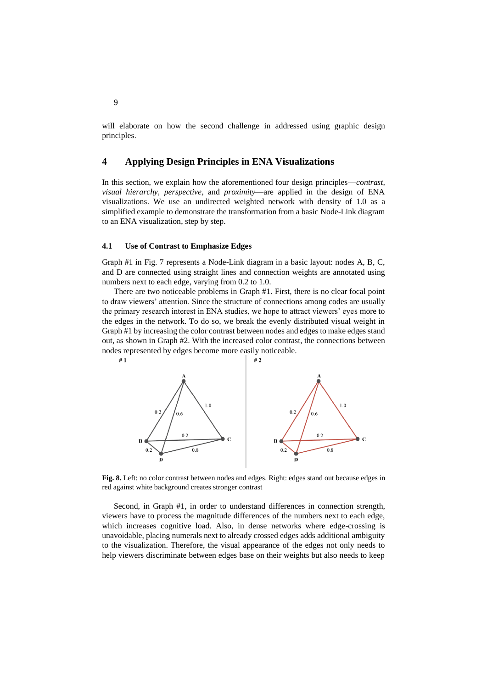will elaborate on how the second challenge in addressed using graphic design principles.

## **4 Applying Design Principles in ENA Visualizations**

In this section, we explain how the aforementioned four design principles—*contrast, visual hierarchy*, *perspective,* and *proximity*—are applied in the design of ENA visualizations. We use an undirected weighted network with density of 1.0 as a simplified example to demonstrate the transformation from a basic Node-Link diagram to an ENA visualization, step by step.

## **4.1 Use of Contrast to Emphasize Edges**

Graph #1 in Fig. 7 represents a Node-Link diagram in a basic layout: nodes A, B, C, and D are connected using straight lines and connection weights are annotated using numbers next to each edge, varying from 0.2 to 1.0.

There are two noticeable problems in Graph #1. First, there is no clear focal point to draw viewers' attention. Since the structure of connections among codes are usually the primary research interest in ENA studies, we hope to attract viewers' eyes more to the edges in the network. To do so, we break the evenly distributed visual weight in Graph #1 by increasing the color contrast between nodes and edges to make edges stand out, as shown in Graph #2. With the increased color contrast, the connections between nodes represented by edges become more easily noticeable.  $#1$ 



**Fig. 8.** Left: no color contrast between nodes and edges. Right: edges stand out because edges in red against white background creates stronger contrast

Second, in Graph #1, in order to understand differences in connection strength, viewers have to process the magnitude differences of the numbers next to each edge, which increases cognitive load. Also, in dense networks where edge-crossing is unavoidable, placing numerals next to already crossed edges adds additional ambiguity to the visualization. Therefore, the visual appearance of the edges not only needs to help viewers discriminate between edges base on their weights but also needs to keep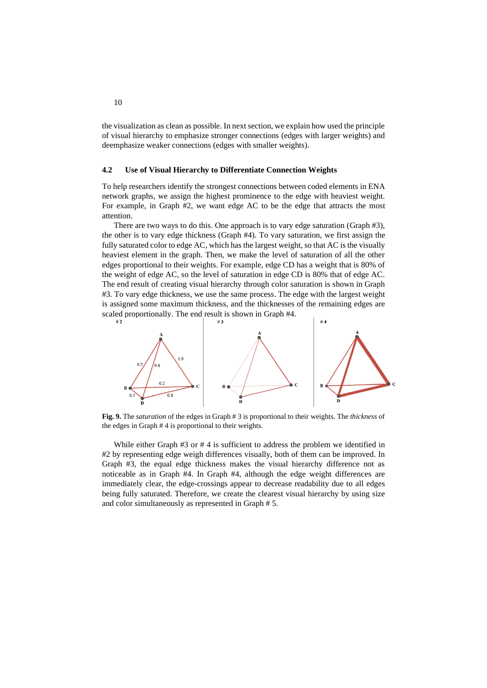the visualization as clean as possible. In next section, we explain how used the principle of visual hierarchy to emphasize stronger connections (edges with larger weights) and deemphasize weaker connections (edges with smaller weights).

#### **4.2 Use of Visual Hierarchy to Differentiate Connection Weights**

To help researchers identify the strongest connections between coded elements in ENA network graphs, we assign the highest prominence to the edge with heaviest weight. For example, in Graph #2, we want edge AC to be the edge that attracts the most attention.

There are two ways to do this. One approach is to vary edge saturation (Graph #3), the other is to vary edge thickness (Graph #4). To vary saturation, we first assign the fully saturated color to edge AC, which has the largest weight, so that AC is the visually heaviest element in the graph. Then, we make the level of saturation of all the other edges proportional to their weights. For example, edge CD has a weight that is 80% of the weight of edge AC, so the level of saturation in edge CD is 80% that of edge AC. The end result of creating visual hierarchy through color saturation is shown in Graph #3. To vary edge thickness, we use the same process. The edge with the largest weight is assigned some maximum thickness, and the thicknesses of the remaining edges are scaled proportionally. The end result is shown in Graph #4.



**Fig. 9.** The *saturation* of the edges in Graph # 3 is proportional to their weights. The *thickness* of the edges in Graph # 4 is proportional to their weights.

While either Graph #3 or #4 is sufficient to address the problem we identified in #2 by representing edge weigh differences visually, both of them can be improved. In Graph #3, the equal edge thickness makes the visual hierarchy difference not as noticeable as in Graph #4. In Graph #4, although the edge weight differences are immediately clear, the edge-crossings appear to decrease readability due to all edges being fully saturated. Therefore, we create the clearest visual hierarchy by using size and color simultaneously as represented in Graph # 5.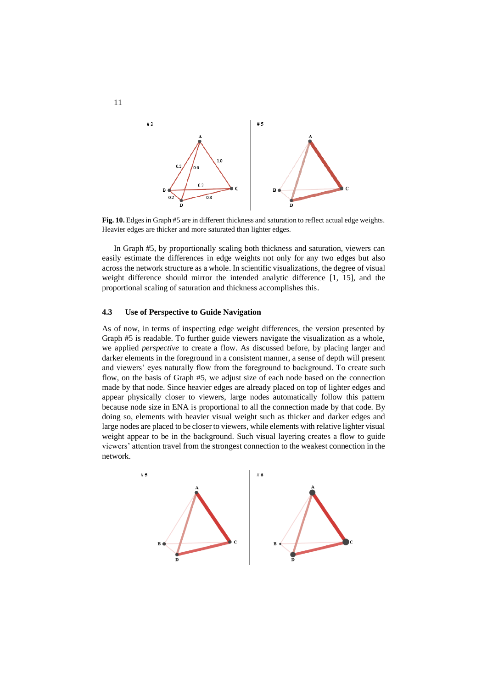

**Fig. 10.** Edgesin Graph #5 are in different thickness and saturation to reflect actual edge weights. Heavier edges are thicker and more saturated than lighter edges.

In Graph #5, by proportionally scaling both thickness and saturation, viewers can easily estimate the differences in edge weights not only for any two edges but also across the network structure as a whole. In scientific visualizations, the degree of visual weight difference should mirror the intended analytic difference [1, 15], and the proportional scaling of saturation and thickness accomplishes this.

## **4.3 Use of Perspective to Guide Navigation**

As of now, in terms of inspecting edge weight differences, the version presented by Graph #5 is readable. To further guide viewers navigate the visualization as a whole, we applied *perspective* to create a flow. As discussed before, by placing larger and darker elements in the foreground in a consistent manner, a sense of depth will present and viewers' eyes naturally flow from the foreground to background. To create such flow, on the basis of Graph #5, we adjust size of each node based on the connection made by that node. Since heavier edges are already placed on top of lighter edges and appear physically closer to viewers, large nodes automatically follow this pattern because node size in ENA is proportional to all the connection made by that code. By doing so, elements with heavier visual weight such as thicker and darker edges and large nodes are placed to be closer to viewers, while elements with relative lighter visual weight appear to be in the background. Such visual layering creates a flow to guide viewers' attention travel from the strongest connection to the weakest connection in the network.

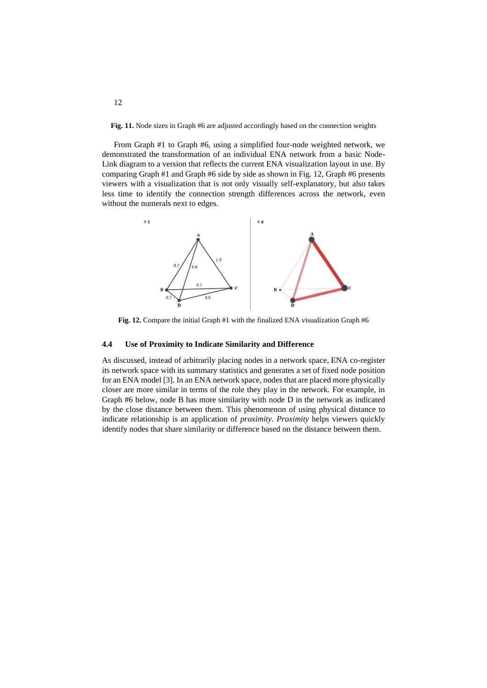**Fig. 11.** Node sizes in Graph #6 are adjusted accordingly based on the connection weights

From Graph #1 to Graph #6, using a simplified four-node weighted network, we demonstrated the transformation of an individual ENA network from a basic Node-Link diagram to a version that reflects the current ENA visualization layout in use. By comparing Graph #1 and Graph #6 side by side as shown in Fig. 12, Graph #6 presents viewers with a visualization that is not only visually self-explanatory, but also takes less time to identify the connection strength differences across the network, even without the numerals next to edges.



**Fig. 12.** Compare the initial Graph #1 with the finalized ENA visualization Graph #6

#### **4.4 Use of Proximity to Indicate Similarity and Difference**

As discussed, instead of arbitrarily placing nodes in a network space, ENA co-register its network space with its summary statistics and generates a set of fixed node position for an ENA model [3]. In an ENA network space, nodes that are placed more physically closer are more similar in terms of the role they play in the network. For example, in Graph #6 below, node B has more similarity with node D in the network as indicated by the close distance between them. This phenomenon of using physical distance to indicate relationship is an application of *proximity*. *Proximity* helps viewers quickly identify nodes that share similarity or difference based on the distance between them.

#### 12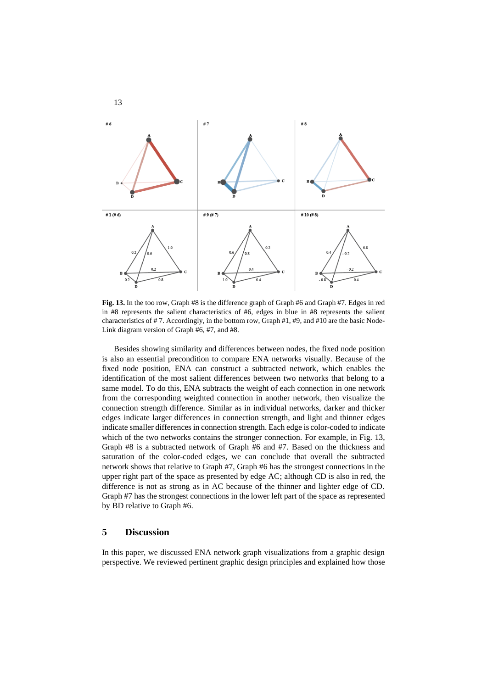

**Fig. 13.** In the too row, Graph #8 is the difference graph of Graph #6 and Graph #7. Edges in red in #8 represents the salient characteristics of #6, edges in blue in #8 represents the salient characteristics of  $#7$ . Accordingly, in the bottom row, Graph  $#1, #9$ , and  $#10$  are the basic Node-Link diagram version of Graph #6, #7, and #8.

Besides showing similarity and differences between nodes, the fixed node position is also an essential precondition to compare ENA networks visually. Because of the fixed node position, ENA can construct a subtracted network, which enables the identification of the most salient differences between two networks that belong to a same model. To do this, ENA subtracts the weight of each connection in one network from the corresponding weighted connection in another network, then visualize the connection strength difference. Similar as in individual networks, darker and thicker edges indicate larger differences in connection strength, and light and thinner edges indicate smaller differences in connection strength. Each edge is color-coded to indicate which of the two networks contains the stronger connection. For example, in Fig. 13, Graph #8 is a subtracted network of Graph #6 and #7. Based on the thickness and saturation of the color-coded edges, we can conclude that overall the subtracted network shows that relative to Graph #7, Graph #6 has the strongest connections in the upper right part of the space as presented by edge AC; although CD is also in red, the difference is not as strong as in AC because of the thinner and lighter edge of CD. Graph #7 has the strongest connections in the lower left part of the space as represented by BD relative to Graph #6.

# **5 Discussion**

In this paper, we discussed ENA network graph visualizations from a graphic design perspective. We reviewed pertinent graphic design principles and explained how those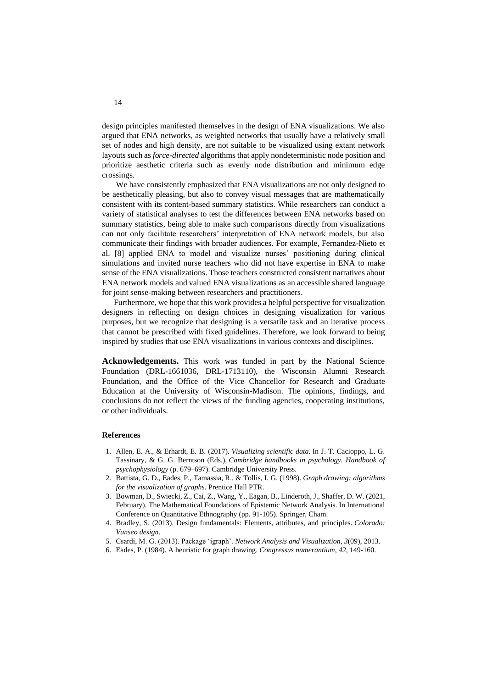design principles manifested themselves in the design of ENA visualizations. We also argued that ENA networks, as weighted networks that usually have a relatively small set of nodes and high density, are not suitable to be visualized using extant network layouts such as *force-directed* algorithms that apply nondeterministic node position and prioritize aesthetic criteria such as evenly node distribution and minimum edge crossings.

We have consistently emphasized that ENA visualizations are not only designed to be aesthetically pleasing, but also to convey visual messages that are mathematically consistent with its content-based summary statistics. While researchers can conduct a variety of statistical analyses to test the differences between ENA networks based on summary statistics, being able to make such comparisons directly from visualizations can not only facilitate researchers' interpretation of ENA network models, but also communicate their findings with broader audiences. For example, Fernandez-Nieto et al. [8] applied ENA to model and visualize nurses' positioning during clinical simulations and invited nurse teachers who did not have expertise in ENA to make sense of the ENA visualizations. Those teachers constructed consistent narratives about ENA network models and valued ENA visualizations as an accessible shared language for joint sense-making between researchers and practitioners.

Furthermore, we hope that this work provides a helpful perspective for visualization designers in reflecting on design choices in designing visualization for various purposes, but we recognize that designing is a versatile task and an iterative process that cannot be prescribed with fixed guidelines. Therefore, we look forward to being inspired by studies that use ENA visualizations in various contexts and disciplines.

**Acknowledgements.** This work was funded in part by the National Science Foundation (DRL-1661036, DRL-1713110), the Wisconsin Alumni Research Foundation, and the Office of the Vice Chancellor for Research and Graduate Education at the University of Wisconsin-Madison. The opinions, findings, and conclusions do not reflect the views of the funding agencies, cooperating institutions, or other individuals.

#### **References**

- 1. Allen, E. A., & Erhardt, E. B. (2017). *Visualizing scientific data.* In J. T. Cacioppo, L. G. Tassinary, & G. G. Berntson (Eds.), *Cambridge handbooks in psychology. Handbook of psychophysiology* (p. 679–697). Cambridge University Press.
- 2. Battista, G. D., Eades, P., Tamassia, R., & Tollis, I. G. (1998). *Graph drawing: algorithms for the visualization of graphs*. Prentice Hall PTR.
- 3. Bowman, D., Swiecki, Z., Cai, Z., Wang, Y., Eagan, B., Linderoth, J., Shaffer, D. W. (2021, February). The Mathematical Foundations of Epistemic Network Analysis. In International Conference on Quantitative Ethnography (pp. 91-105). Springer, Cham.
- 4. Bradley, S. (2013). Design fundamentals: Elements, attributes, and principles. *Colorado: Vanseo design*.
- 5. Csardi, M. G. (2013). Package 'igraph'. *Network Analysis and Visualization*, *3*(09), 2013.
- 6. Eades, P. (1984). A heuristic for graph drawing. *Congressus numerantium*, *42*, 149-160.